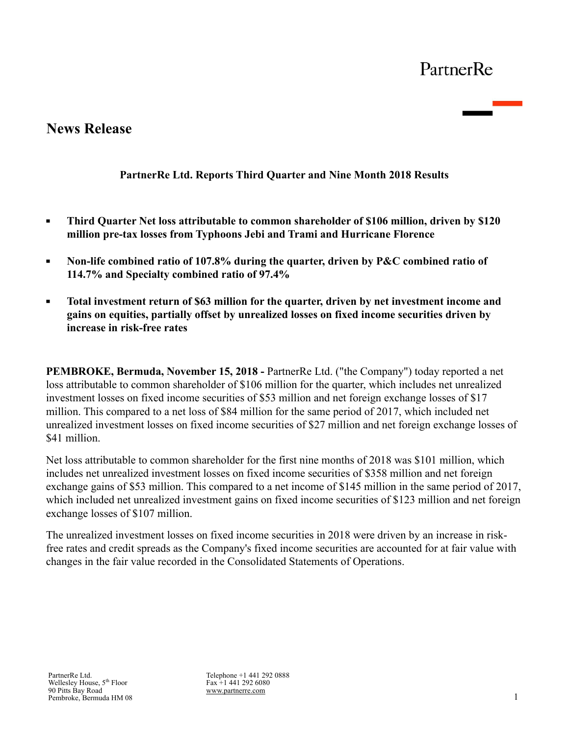# **News Release**

## **PartnerRe Ltd. Reports Third Quarter and Nine Month 2018 Results**

- **Third Quarter Net loss attributable to common shareholder of \$106 million, driven by \$120**   $\blacksquare$ **million pre-tax losses from Typhoons Jebi and Trami and Hurricane Florence**
- $\blacksquare$ **Non-life combined ratio of 107.8% during the quarter, driven by P&C combined ratio of 114.7% and Specialty combined ratio of 97.4%**
- $\blacksquare$ **Total investment return of \$63 million for the quarter, driven by net investment income and gains on equities, partially offset by unrealized losses on fixed income securities driven by increase in risk-free rates**

**PEMBROKE, Bermuda, November 15, 2018 -** PartnerRe Ltd. ("the Company") today reported a net loss attributable to common shareholder of \$106 million for the quarter, which includes net unrealized investment losses on fixed income securities of \$53 million and net foreign exchange losses of \$17 million. This compared to a net loss of \$84 million for the same period of 2017, which included net unrealized investment losses on fixed income securities of \$27 million and net foreign exchange losses of \$41 million

Net loss attributable to common shareholder for the first nine months of 2018 was \$101 million, which includes net unrealized investment losses on fixed income securities of \$358 million and net foreign exchange gains of \$53 million. This compared to a net income of \$145 million in the same period of 2017, which included net unrealized investment gains on fixed income securities of \$123 million and net foreign exchange losses of \$107 million.

The unrealized investment losses on fixed income securities in 2018 were driven by an increase in riskfree rates and credit spreads as the Company's fixed income securities are accounted for at fair value with changes in the fair value recorded in the Consolidated Statements of Operations.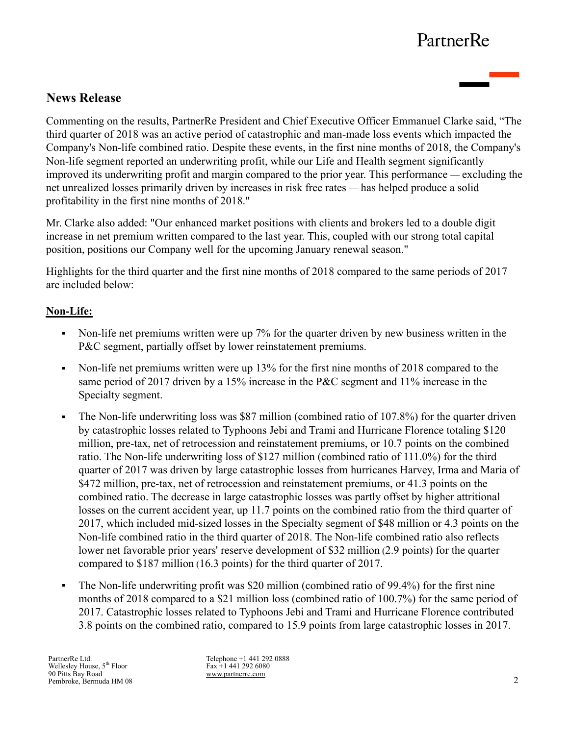# **News Release**

Commenting on the results, PartnerRe President and Chief Executive Officer Emmanuel Clarke said, "The third quarter of 2018 was an active period of catastrophic and man-made loss events which impacted the Company's Non-life combined ratio. Despite these events, in the first nine months of 2018, the Company's Non-life segment reported an underwriting profit, while our Life and Health segment significantly improved its underwriting profit and margin compared to the prior year. This performance — excluding the net unrealized losses primarily driven by increases in risk free rates — has helped produce a solid profitability in the first nine months of 2018."

Mr. Clarke also added: "Our enhanced market positions with clients and brokers led to a double digit increase in net premium written compared to the last year. This, coupled with our strong total capital position, positions our Company well for the upcoming January renewal season."

Highlights for the third quarter and the first nine months of 2018 compared to the same periods of 2017 are included below:

## **Non-Life:**

- Non-life net premiums written were up 7% for the quarter driven by new business written in the P&C segment, partially offset by lower reinstatement premiums.
- Non-life net premiums written were up 13% for the first nine months of 2018 compared to the same period of 2017 driven by a 15% increase in the P&C segment and 11% increase in the Specialty segment.
- The Non-life underwriting loss was \$87 million (combined ratio of 107.8%) for the quarter driven  $\blacksquare$ by catastrophic losses related to Typhoons Jebi and Trami and Hurricane Florence totaling \$120 million, pre-tax, net of retrocession and reinstatement premiums, or 10.7 points on the combined ratio. The Non-life underwriting loss of \$127 million (combined ratio of 111.0%) for the third quarter of 2017 was driven by large catastrophic losses from hurricanes Harvey, Irma and Maria of \$472 million, pre-tax, net of retrocession and reinstatement premiums, or 41.3 points on the combined ratio. The decrease in large catastrophic losses was partly offset by higher attritional losses on the current accident year, up 11.7 points on the combined ratio from the third quarter of 2017, which included mid-sized losses in the Specialty segment of \$48 million or 4.3 points on the Non-life combined ratio in the third quarter of 2018. The Non-life combined ratio also reflects lower net favorable prior years' reserve development of \$32 million (2.9 points) for the quarter compared to \$187 million (16.3 points) for the third quarter of 2017.
- The Non-life underwriting profit was \$20 million (combined ratio of 99.4%) for the first nine  $\blacksquare$ months of 2018 compared to a \$21 million loss (combined ratio of 100.7%) for the same period of 2017. Catastrophic losses related to Typhoons Jebi and Trami and Hurricane Florence contributed 3.8 points on the combined ratio, compared to 15.9 points from large catastrophic losses in 2017.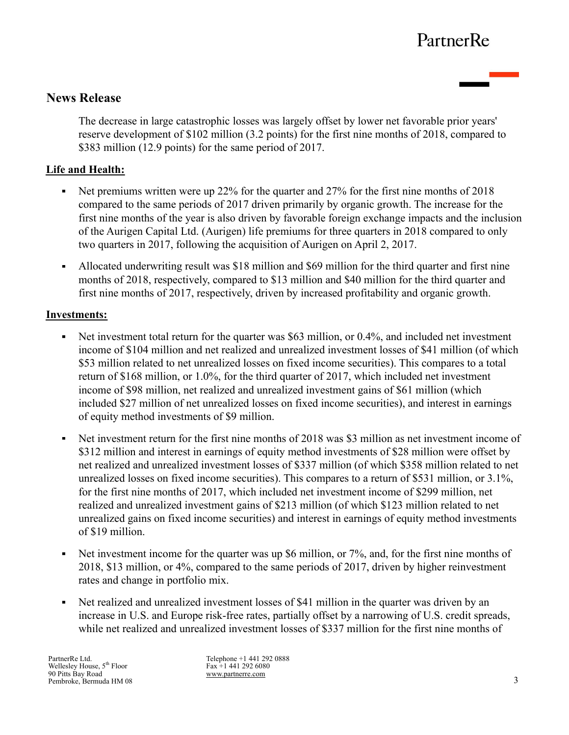## **News Release**

The decrease in large catastrophic losses was largely offset by lower net favorable prior years' reserve development of \$102 million (3.2 points) for the first nine months of 2018, compared to \$383 million (12.9 points) for the same period of 2017.

### **Life and Health:**

- Net premiums written were up 22% for the quarter and 27% for the first nine months of 2018 compared to the same periods of 2017 driven primarily by organic growth. The increase for the first nine months of the year is also driven by favorable foreign exchange impacts and the inclusion of the Aurigen Capital Ltd. (Aurigen) life premiums for three quarters in 2018 compared to only two quarters in 2017, following the acquisition of Aurigen on April 2, 2017.
- Allocated underwriting result was \$18 million and \$69 million for the third quarter and first nine months of 2018, respectively, compared to \$13 million and \$40 million for the third quarter and first nine months of 2017, respectively, driven by increased profitability and organic growth.

#### **Investments:**

- Net investment total return for the quarter was \$63 million, or 0.4%, and included net investment  $\blacksquare$ income of \$104 million and net realized and unrealized investment losses of \$41 million (of which \$53 million related to net unrealized losses on fixed income securities). This compares to a total return of \$168 million, or 1.0%, for the third quarter of 2017, which included net investment income of \$98 million, net realized and unrealized investment gains of \$61 million (which included \$27 million of net unrealized losses on fixed income securities), and interest in earnings of equity method investments of \$9 million.
- Net investment return for the first nine months of 2018 was \$3 million as net investment income of  $\blacksquare$ \$312 million and interest in earnings of equity method investments of \$28 million were offset by net realized and unrealized investment losses of \$337 million (of which \$358 million related to net unrealized losses on fixed income securities). This compares to a return of \$531 million, or 3.1%, for the first nine months of 2017, which included net investment income of \$299 million, net realized and unrealized investment gains of \$213 million (of which \$123 million related to net unrealized gains on fixed income securities) and interest in earnings of equity method investments of \$19 million.
- Net investment income for the quarter was up \$6 million, or 7%, and, for the first nine months of  $\blacksquare$ 2018, \$13 million, or 4%, compared to the same periods of 2017, driven by higher reinvestment rates and change in portfolio mix.
- Net realized and unrealized investment losses of \$41 million in the quarter was driven by an  $\blacksquare$ increase in U.S. and Europe risk-free rates, partially offset by a narrowing of U.S. credit spreads, while net realized and unrealized investment losses of \$337 million for the first nine months of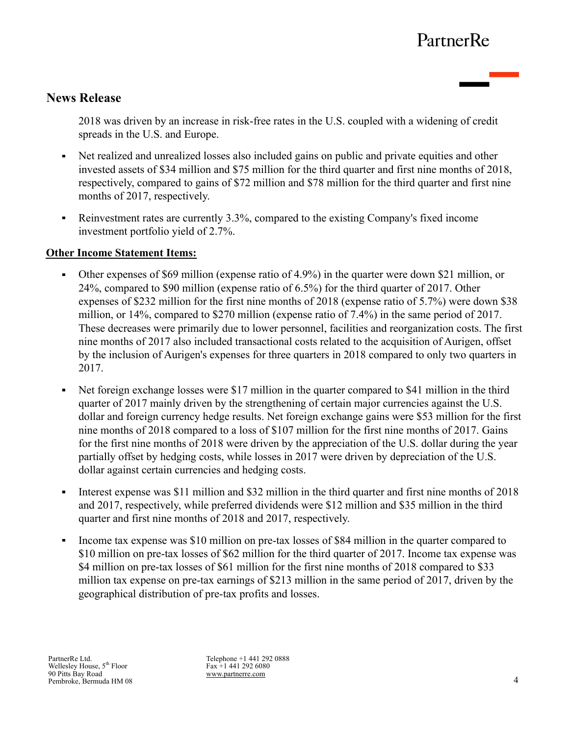# **News Release**

2018 was driven by an increase in risk-free rates in the U.S. coupled with a widening of credit spreads in the U.S. and Europe.

- Net realized and unrealized losses also included gains on public and private equities and other invested assets of \$34 million and \$75 million for the third quarter and first nine months of 2018, respectively, compared to gains of \$72 million and \$78 million for the third quarter and first nine months of 2017, respectively.
- Reinvestment rates are currently 3.3%, compared to the existing Company's fixed income  $\blacksquare$ investment portfolio yield of 2.7%.

#### **Other Income Statement Items:**

- Other expenses of \$69 million (expense ratio of 4.9%) in the quarter were down \$21 million, or 24%, compared to \$90 million (expense ratio of 6.5%) for the third quarter of 2017. Other expenses of \$232 million for the first nine months of 2018 (expense ratio of 5.7%) were down \$38 million, or 14%, compared to \$270 million (expense ratio of 7.4%) in the same period of 2017. These decreases were primarily due to lower personnel, facilities and reorganization costs. The first nine months of 2017 also included transactional costs related to the acquisition of Aurigen, offset by the inclusion of Aurigen's expenses for three quarters in 2018 compared to only two quarters in 2017.
- Net foreign exchange losses were \$17 million in the quarter compared to \$41 million in the third  $\blacksquare$ quarter of 2017 mainly driven by the strengthening of certain major currencies against the U.S. dollar and foreign currency hedge results. Net foreign exchange gains were \$53 million for the first nine months of 2018 compared to a loss of \$107 million for the first nine months of 2017. Gains for the first nine months of 2018 were driven by the appreciation of the U.S. dollar during the year partially offset by hedging costs, while losses in 2017 were driven by depreciation of the U.S. dollar against certain currencies and hedging costs.
- Interest expense was \$11 million and \$32 million in the third quarter and first nine months of 2018  $\blacksquare$ and 2017, respectively, while preferred dividends were \$12 million and \$35 million in the third quarter and first nine months of 2018 and 2017, respectively.
- $\blacksquare$ Income tax expense was \$10 million on pre-tax losses of \$84 million in the quarter compared to \$10 million on pre-tax losses of \$62 million for the third quarter of 2017. Income tax expense was \$4 million on pre-tax losses of \$61 million for the first nine months of 2018 compared to \$33 million tax expense on pre-tax earnings of \$213 million in the same period of 2017, driven by the geographical distribution of pre-tax profits and losses.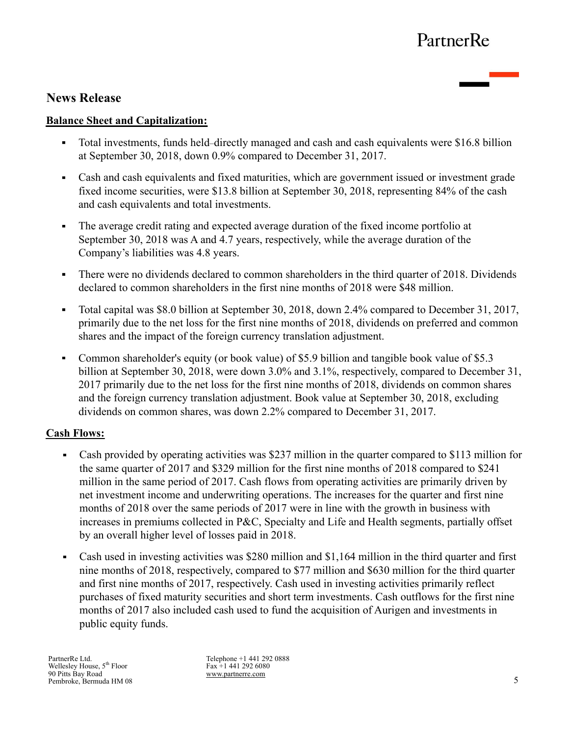## **News Release**

#### **Balance Sheet and Capitalization:**

- Total investments, funds held–directly managed and cash and cash equivalents were \$16.8 billion at September 30, 2018, down 0.9% compared to December 31, 2017.
- Cash and cash equivalents and fixed maturities, which are government issued or investment grade fixed income securities, were \$13.8 billion at September 30, 2018, representing 84% of the cash and cash equivalents and total investments.
- The average credit rating and expected average duration of the fixed income portfolio at  $\blacksquare$ September 30, 2018 was A and 4.7 years, respectively, while the average duration of the Company's liabilities was 4.8 years.
- There were no dividends declared to common shareholders in the third quarter of 2018. Dividends declared to common shareholders in the first nine months of 2018 were \$48 million.
- Total capital was \$8.0 billion at September 30, 2018, down 2.4% compared to December 31, 2017,  $\blacksquare$ primarily due to the net loss for the first nine months of 2018, dividends on preferred and common shares and the impact of the foreign currency translation adjustment.
- Common shareholder's equity (or book value) of \$5.9 billion and tangible book value of \$5.3 billion at September 30, 2018, were down 3.0% and 3.1%, respectively, compared to December 31, 2017 primarily due to the net loss for the first nine months of 2018, dividends on common shares and the foreign currency translation adjustment. Book value at September 30, 2018, excluding dividends on common shares, was down 2.2% compared to December 31, 2017.

#### **Cash Flows:**

- Cash provided by operating activities was \$237 million in the quarter compared to \$113 million for  $\blacksquare$ the same quarter of 2017 and \$329 million for the first nine months of 2018 compared to \$241 million in the same period of 2017. Cash flows from operating activities are primarily driven by net investment income and underwriting operations. The increases for the quarter and first nine months of 2018 over the same periods of 2017 were in line with the growth in business with increases in premiums collected in P&C, Specialty and Life and Health segments, partially offset by an overall higher level of losses paid in 2018.
- Cash used in investing activities was \$280 million and \$1,164 million in the third quarter and first  $\blacksquare$ nine months of 2018, respectively, compared to \$77 million and \$630 million for the third quarter and first nine months of 2017, respectively. Cash used in investing activities primarily reflect purchases of fixed maturity securities and short term investments. Cash outflows for the first nine months of 2017 also included cash used to fund the acquisition of Aurigen and investments in public equity funds.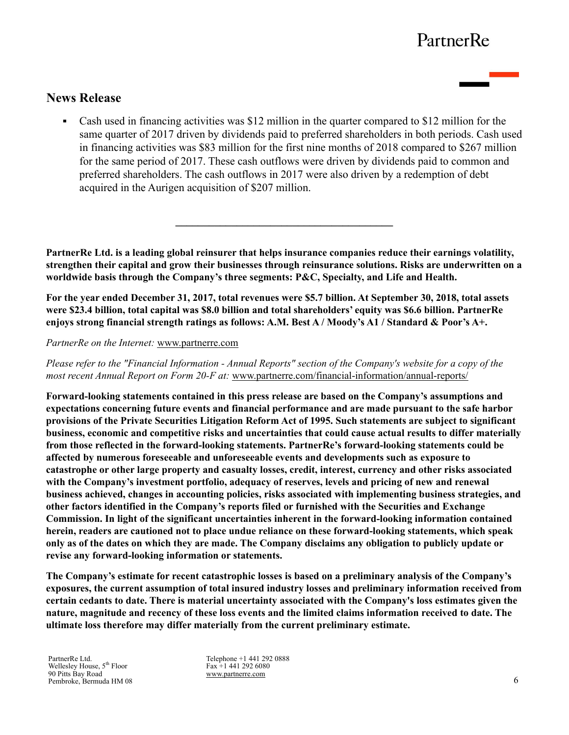## **News Release**

Cash used in financing activities was \$12 million in the quarter compared to \$12 million for the same quarter of 2017 driven by dividends paid to preferred shareholders in both periods. Cash used in financing activities was \$83 million for the first nine months of 2018 compared to \$267 million for the same period of 2017. These cash outflows were driven by dividends paid to common and preferred shareholders. The cash outflows in 2017 were also driven by a redemption of debt acquired in the Aurigen acquisition of \$207 million.

**PartnerRe Ltd. is a leading global reinsurer that helps insurance companies reduce their earnings volatility, strengthen their capital and grow their businesses through reinsurance solutions. Risks are underwritten on a worldwide basis through the Company's three segments: P&C, Specialty, and Life and Health.** 

 $\mathcal{L}=\{1,2,3,4,5\}$ 

**For the year ended December 31, 2017, total revenues were \$5.7 billion. At September 30, 2018, total assets were \$23.4 billion, total capital was \$8.0 billion and total shareholders' equity was \$6.6 billion. PartnerRe enjoys strong financial strength ratings as follows: A.M. Best A / Moody's A1 / Standard & Poor's A+.** 

*PartnerRe on the Internet:* www.partnerre.com

*Please refer to the "Financial Information - Annual Reports" section of the Company's website for a copy of the most recent Annual Report on Form 20-F at:* www.partnerre.com/financial-information/annual-reports/

**Forward-looking statements contained in this press release are based on the Company's assumptions and expectations concerning future events and financial performance and are made pursuant to the safe harbor provisions of the Private Securities Litigation Reform Act of 1995. Such statements are subject to significant business, economic and competitive risks and uncertainties that could cause actual results to differ materially from those reflected in the forward-looking statements. PartnerRe's forward-looking statements could be affected by numerous foreseeable and unforeseeable events and developments such as exposure to catastrophe or other large property and casualty losses, credit, interest, currency and other risks associated with the Company's investment portfolio, adequacy of reserves, levels and pricing of new and renewal business achieved, changes in accounting policies, risks associated with implementing business strategies, and other factors identified in the Company's reports filed or furnished with the Securities and Exchange Commission. In light of the significant uncertainties inherent in the forward-looking information contained herein, readers are cautioned not to place undue reliance on these forward-looking statements, which speak only as of the dates on which they are made. The Company disclaims any obligation to publicly update or revise any forward-looking information or statements.**

**The Company's estimate for recent catastrophic losses is based on a preliminary analysis of the Company's exposures, the current assumption of total insured industry losses and preliminary information received from certain cedants to date. There is material uncertainty associated with the Company's loss estimates given the nature, magnitude and recency of these loss events and the limited claims information received to date. The ultimate loss therefore may differ materially from the current preliminary estimate.**

PartnerRe Ltd. Wellesley House, 5<sup>th</sup> Floor 90 Pitts Bay Road Pembroke, Bermuda HM 08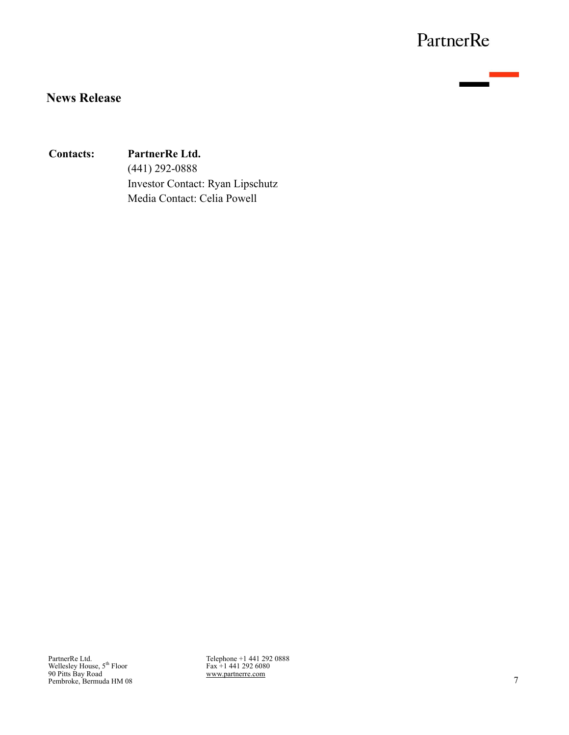<u>e anno 19</u>

# **News Release**

### **Contacts: PartnerRe Ltd.**

(441) 292-0888 Investor Contact: Ryan Lipschutz Media Contact: Celia Powell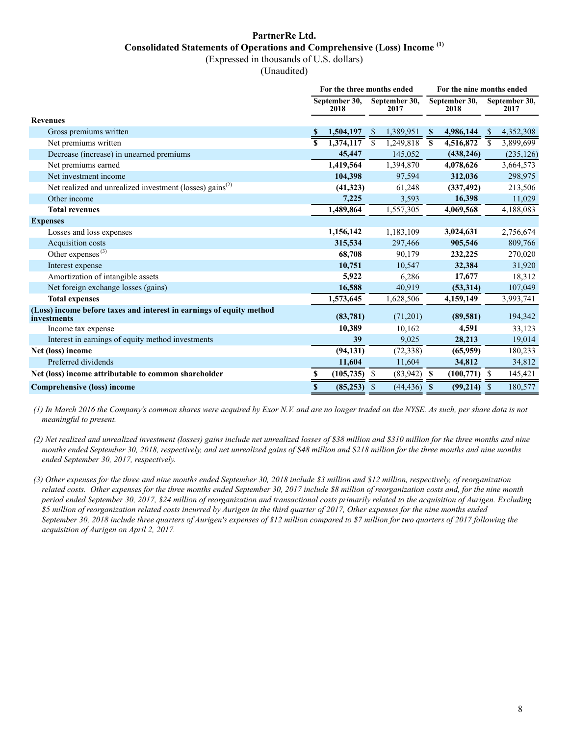### **PartnerRe Ltd. Consolidated Statements of Operations and Comprehensive (Loss) Income (1)**

(Expressed in thousands of U.S. dollars)

(Unaudited)

|                                                                                     | For the three months ended |                       |                |                       |                         |                       | For the nine months ended |                       |  |  |  |
|-------------------------------------------------------------------------------------|----------------------------|-----------------------|----------------|-----------------------|-------------------------|-----------------------|---------------------------|-----------------------|--|--|--|
|                                                                                     |                            | September 30,<br>2018 |                | September 30,<br>2017 |                         | September 30,<br>2018 |                           | September 30,<br>2017 |  |  |  |
| <b>Revenues</b>                                                                     |                            |                       |                |                       |                         |                       |                           |                       |  |  |  |
| Gross premiums written                                                              |                            | 1,504,197             | -\$            | 1,389,951             | <sup>\$</sup>           | 4,986,144             | -S                        | 4,352,308             |  |  |  |
| Net premiums written                                                                |                            | 1,374,117             | $\overline{s}$ | 1,249,818             | $\overline{\mathbf{s}}$ | 4,516,872             | <sup>\$</sup>             | 3,899,699             |  |  |  |
| Decrease (increase) in unearned premiums                                            |                            | 45,447                |                | 145,052               |                         | (438, 246)            |                           | (235, 126)            |  |  |  |
| Net premiums earned                                                                 |                            | 1,419,564             |                | 1,394,870             |                         | 4,078,626             |                           | 3,664,573             |  |  |  |
| Net investment income                                                               |                            | 104,398               |                | 97,594                |                         | 312,036               |                           | 298,975               |  |  |  |
| Net realized and unrealized investment (losses) gains <sup>(2)</sup>                |                            | (41, 323)             |                | 61,248                |                         | (337, 492)            |                           | 213,506               |  |  |  |
| Other income                                                                        |                            | 7,225                 |                | 3,593                 |                         | 16,398                |                           | 11,029                |  |  |  |
| <b>Total revenues</b>                                                               |                            | 1,489,864             |                | 1,557,305             |                         | 4,069,568             |                           | 4,188,083             |  |  |  |
| <b>Expenses</b>                                                                     |                            |                       |                |                       |                         |                       |                           |                       |  |  |  |
| Losses and loss expenses                                                            |                            | 1,156,142             |                | 1,183,109             |                         | 3,024,631             |                           | 2,756,674             |  |  |  |
| Acquisition costs                                                                   |                            | 315,534               |                | 297,466               |                         | 905,546               |                           | 809,766               |  |  |  |
| Other expenses $(3)$                                                                |                            | 68,708                |                | 90,179                |                         | 232,225               |                           | 270,020               |  |  |  |
| Interest expense                                                                    |                            | 10,751                |                | 10,547                |                         | 32,384                |                           | 31,920                |  |  |  |
| Amortization of intangible assets                                                   |                            | 5,922                 |                | 6,286                 |                         | 17,677                |                           | 18,312                |  |  |  |
| Net foreign exchange losses (gains)                                                 |                            | 16,588                |                | 40,919                |                         | (53,314)              |                           | 107,049               |  |  |  |
| <b>Total expenses</b>                                                               |                            | 1,573,645             |                | 1,628,506             |                         | 4,159,149             |                           | 3,993,741             |  |  |  |
| (Loss) income before taxes and interest in earnings of equity method<br>investments |                            | (83,781)              |                | (71,201)              |                         | (89, 581)             |                           | 194,342               |  |  |  |
| Income tax expense                                                                  |                            | 10,389                |                | 10,162                |                         | 4,591                 |                           | 33,123                |  |  |  |
| Interest in earnings of equity method investments                                   |                            | 39                    |                | 9,025                 |                         | 28,213                |                           | 19,014                |  |  |  |
| Net (loss) income                                                                   |                            | (94, 131)             |                | (72, 338)             |                         | (65,959)              |                           | 180,233               |  |  |  |
| Preferred dividends                                                                 |                            | 11,604                |                | 11,604                |                         | 34,812                |                           | 34,812                |  |  |  |
| Net (loss) income attributable to common shareholder                                | \$                         | $(105, 735)$ \$       |                | $(83,942)$ \$         |                         | $(100,771)$ \$        |                           | 145,421               |  |  |  |
| Comprehensive (loss) income                                                         | $\mathbf S$                | (85, 253)             | <sup>\$</sup>  | (44, 436)             | $\mathbf{s}$            | (99,214)              | <sup>S</sup>              | 180,577               |  |  |  |

*(1) In March 2016 the Company's common shares were acquired by Exor N.V. and are no longer traded on the NYSE. As such, per share data is not meaningful to present.* 

*(2) Net realized and unrealized investment (losses) gains include net unrealized losses of \$38 million and \$310 million for the three months and nine months ended September 30, 2018, respectively, and net unrealized gains of \$48 million and \$218 million for the three months and nine months ended September 30, 2017, respectively.*

*(3) Other expenses for the three and nine months ended September 30, 2018 include \$3 million and \$12 million, respectively, of reorganization related costs. Other expenses for the three months ended September 30, 2017 include \$8 million of reorganization costs and, for the nine month period ended September 30, 2017, \$24 million of reorganization and transactional costs primarily related to the acquisition of Aurigen. Excluding \$5 million of reorganization related costs incurred by Aurigen in the third quarter of 2017, Other expenses for the nine months ended September 30, 2018 include three quarters of Aurigen's expenses of \$12 million compared to \$7 million for two quarters of 2017 following the acquisition of Aurigen on April 2, 2017.*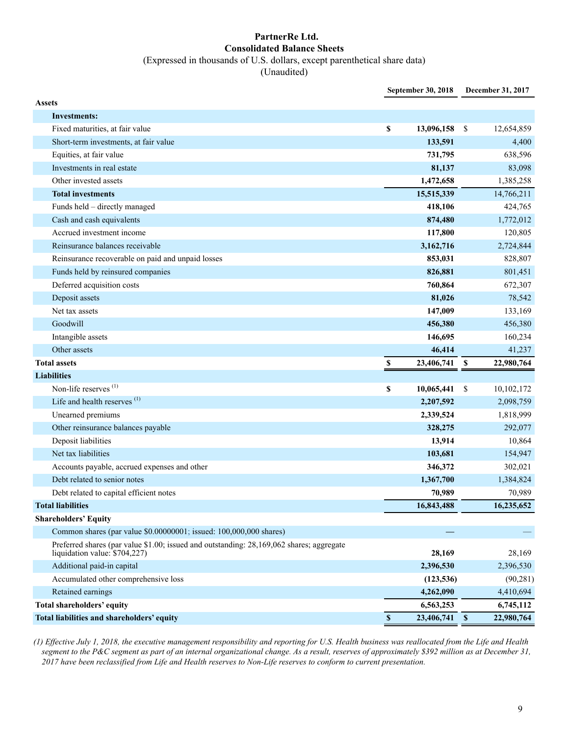#### **PartnerRe Ltd. Consolidated Balance Sheets** (Expressed in thousands of U.S. dollars, except parenthetical share data)

(Unaudited)

|                                                                                                                           | September 30, 2018 |            | December 31, 2017 |                        |  |
|---------------------------------------------------------------------------------------------------------------------------|--------------------|------------|-------------------|------------------------|--|
| <b>Assets</b>                                                                                                             |                    |            |                   |                        |  |
| Investments:                                                                                                              |                    |            |                   |                        |  |
| Fixed maturities, at fair value                                                                                           | \$                 | 13,096,158 | \$                | 12,654,859             |  |
| Short-term investments, at fair value                                                                                     |                    | 133,591    |                   | 4,400                  |  |
| Equities, at fair value                                                                                                   |                    | 731,795    |                   | 638,596                |  |
| Investments in real estate                                                                                                |                    | 81,137     |                   | 83,098                 |  |
| Other invested assets                                                                                                     |                    | 1,472,658  |                   | 1,385,258              |  |
| <b>Total investments</b>                                                                                                  |                    | 15,515,339 |                   | 14,766,211             |  |
| Funds held - directly managed                                                                                             |                    | 418,106    |                   | 424,765                |  |
| Cash and cash equivalents                                                                                                 |                    | 874,480    |                   | 1,772,012              |  |
| Accrued investment income                                                                                                 |                    | 117,800    |                   | 120,805                |  |
| Reinsurance balances receivable                                                                                           |                    | 3,162,716  |                   | 2,724,844              |  |
| Reinsurance recoverable on paid and unpaid losses                                                                         |                    | 853,031    |                   | 828,807                |  |
| Funds held by reinsured companies                                                                                         |                    | 826,881    |                   | 801,451                |  |
| Deferred acquisition costs                                                                                                |                    | 760,864    |                   | 672,307                |  |
| Deposit assets                                                                                                            |                    | 81,026     |                   | 78,542                 |  |
| Net tax assets                                                                                                            |                    | 147,009    |                   | 133,169                |  |
| Goodwill                                                                                                                  |                    | 456,380    |                   | 456,380                |  |
| Intangible assets                                                                                                         |                    | 146,695    |                   | 160,234                |  |
| Other assets                                                                                                              |                    | 46,414     |                   | 41,237                 |  |
| <b>Total assets</b>                                                                                                       | $\mathbb S$        | 23,406,741 | <b>S</b>          | 22,980,764             |  |
|                                                                                                                           |                    |            |                   |                        |  |
| <b>Liabilities</b>                                                                                                        |                    |            |                   |                        |  |
| Non-life reserves <sup>(1)</sup>                                                                                          | \$                 | 10,065,441 | \$                | 10,102,172             |  |
| Life and health reserves $(1)$                                                                                            |                    | 2,207,592  |                   | 2,098,759              |  |
| Unearned premiums                                                                                                         |                    | 2,339,524  |                   | 1,818,999              |  |
| Other reinsurance balances payable                                                                                        |                    | 328,275    |                   | 292,077                |  |
| Deposit liabilities                                                                                                       |                    | 13,914     |                   | 10,864                 |  |
| Net tax liabilities                                                                                                       |                    | 103,681    |                   | 154,947                |  |
| Accounts payable, accrued expenses and other                                                                              |                    | 346,372    |                   | 302,021                |  |
| Debt related to senior notes                                                                                              |                    | 1,367,700  |                   | 1,384,824              |  |
| Debt related to capital efficient notes                                                                                   |                    | 70,989     |                   | 70,989                 |  |
| <b>Total liabilities</b>                                                                                                  |                    | 16,843,488 |                   | 16,235,652             |  |
| <b>Shareholders' Equity</b>                                                                                               |                    |            |                   |                        |  |
| Common shares (par value \$0.00000001; issued: 100,000,000 shares)                                                        |                    |            |                   |                        |  |
| Preferred shares (par value \$1.00; issued and outstanding: 28,169,062 shares; aggregate<br>liquidation value: \$704,227) |                    | 28,169     |                   | 28,169                 |  |
| Additional paid-in capital                                                                                                |                    | 2,396,530  |                   | 2,396,530              |  |
| Accumulated other comprehensive loss                                                                                      |                    | (123, 536) |                   |                        |  |
| Retained earnings                                                                                                         |                    | 4,262,090  |                   | (90, 281)<br>4,410,694 |  |
| Total shareholders' equity                                                                                                |                    | 6,563,253  |                   | 6,745,112              |  |

*(1) Effective July 1, 2018, the executive management responsibility and reporting for U.S. Health business was reallocated from the Life and Health segment to the P&C segment as part of an internal organizational change. As a result, reserves of approximately \$392 million as at December 31, 2017 have been reclassified from Life and Health reserves to Non-Life reserves to conform to current presentation.*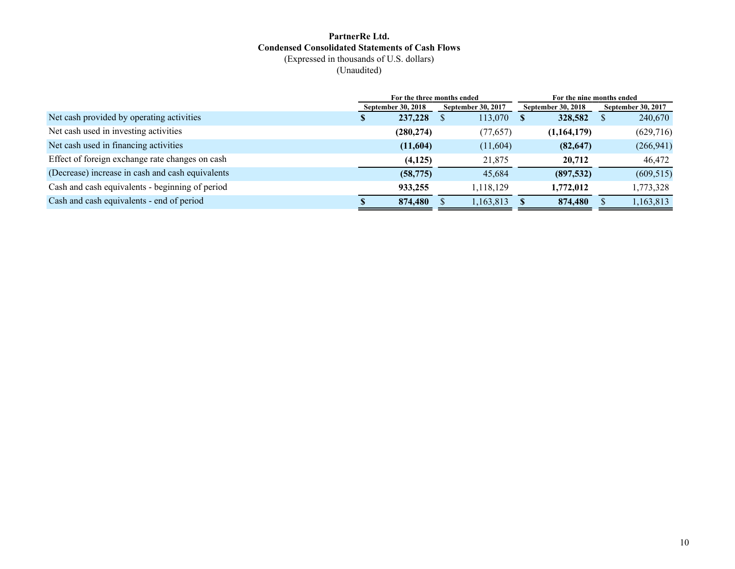#### **PartnerRe Ltd. Condensed Consolidated Statements of Cash Flows** (Expressed in thousands of U.S. dollars) (Unaudited)

|                                                  |                           | For the three months ended |                           | For the nine months ended |                           |  |                           |  |  |
|--------------------------------------------------|---------------------------|----------------------------|---------------------------|---------------------------|---------------------------|--|---------------------------|--|--|
|                                                  | <b>September 30, 2018</b> |                            | <b>September 30, 2017</b> |                           | <b>September 30, 2018</b> |  | <b>September 30, 2017</b> |  |  |
| Net cash provided by operating activities        |                           | 237,228                    | 113,070                   |                           | 328,582                   |  | 240,670                   |  |  |
| Net cash used in investing activities            |                           | (280, 274)                 | (77, 657)                 |                           | (1,164,179)               |  | (629, 716)                |  |  |
| Net cash used in financing activities            |                           | (11,604)                   | (11,604)                  |                           | (82, 647)                 |  | (266, 941)                |  |  |
| Effect of foreign exchange rate changes on cash  |                           | (4,125)                    | 21,875                    |                           | 20,712                    |  | 46,472                    |  |  |
| (Decrease) increase in cash and cash equivalents |                           | (58, 775)                  | 45,684                    |                           | (897,532)                 |  | (609, 515)                |  |  |
| Cash and cash equivalents - beginning of period  |                           | 933,255                    | 1,118,129                 |                           | 1,772,012                 |  | 1,773,328                 |  |  |
| Cash and cash equivalents - end of period        |                           | 874,480                    | 1,163,813                 |                           | 874,480                   |  | 1,163,813                 |  |  |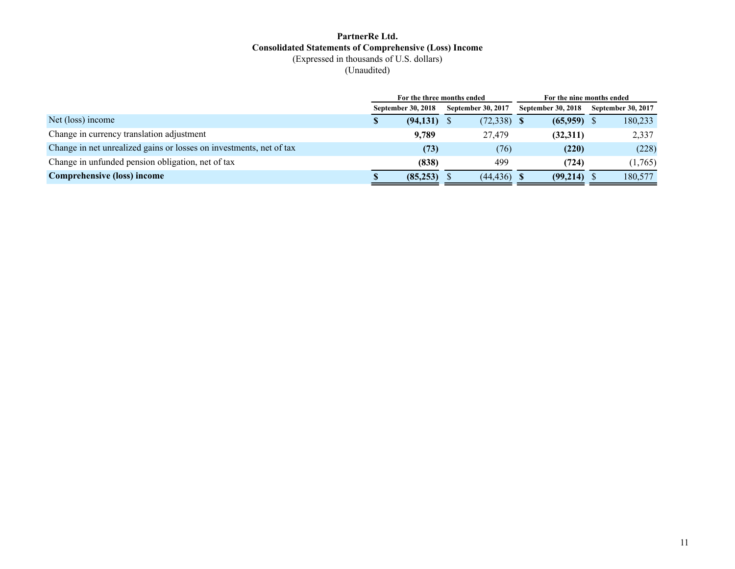#### **PartnerRe Ltd. Consolidated Statements of Comprehensive (Loss) Income** (Expressed in thousands of U.S. dollars) (Unaudited)

|                                                                     |   | For the three months ended |                           | For the nine months ended |                           |  |  |  |
|---------------------------------------------------------------------|---|----------------------------|---------------------------|---------------------------|---------------------------|--|--|--|
|                                                                     |   | <b>September 30, 2018</b>  | <b>September 30, 2017</b> | September 30, 2018        | <b>September 30, 2017</b> |  |  |  |
| Net (loss) income                                                   | S | (94, 131)                  | $(72,338)$ \$             | (65,959)                  | 180,233                   |  |  |  |
| Change in currency translation adjustment                           |   | 9,789                      | 27.479                    | (32,311)                  | 2,337                     |  |  |  |
| Change in net unrealized gains or losses on investments, net of tax |   | (73)                       | (76)                      | (220)                     | (228)                     |  |  |  |
| Change in unfunded pension obligation, net of tax                   |   | (838)                      | 499                       | (724)                     | (1,765)                   |  |  |  |
| Comprehensive (loss) income                                         |   | (85, 253)                  | $(44, 436)$ \$            | (99,214)                  | 180,577                   |  |  |  |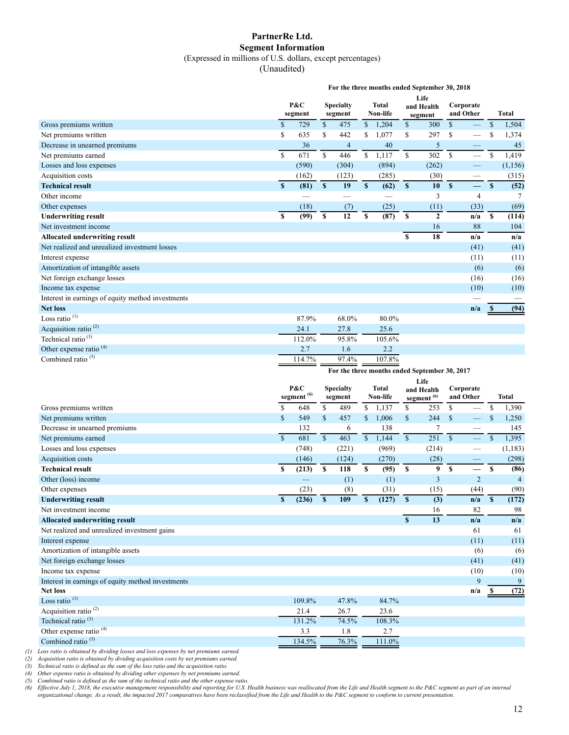#### **PartnerRe Ltd. Segment Information** (Expressed in millions of U.S. dollars, except percentages)

(Unaudited)

|                                                                     | For the three months ended September 30, 2018 |                          |              |                             |              |                          |                          |                                               |                                             |                                                      |                                   |                |
|---------------------------------------------------------------------|-----------------------------------------------|--------------------------|--------------|-----------------------------|--------------|--------------------------|--------------------------|-----------------------------------------------|---------------------------------------------|------------------------------------------------------|-----------------------------------|----------------|
|                                                                     |                                               | P&C<br>segment           |              | <b>Specialty</b><br>segment |              | <b>Total</b><br>Non-life |                          | Life<br>and Health                            | Corporate<br>and Other                      |                                                      |                                   | <b>Total</b>   |
| Gross premiums written                                              | \$                                            | 729                      | \$           | 475                         | $\mathbb{S}$ | 1,204                    |                          | segment                                       | $\mathcal{S}$                               |                                                      | $\mathbb{S}$                      | 1,504          |
| Net premiums written                                                | \$                                            | 635                      | \$           | 442                         | \$           | 1,077                    | \$<br>\$                 | 300<br>297                                    | $\mathbb{S}% _{n}^{X\rightarrow\mathbb{R}}$ | $\overline{\phantom{0}}$                             | $\mathbb{S}$                      | 1,374          |
| Decrease in unearned premiums                                       |                                               | 36                       |              | $\overline{4}$              |              | 40                       |                          | $\sqrt{5}$                                    |                                             |                                                      |                                   | 45             |
| Net premiums earned                                                 | \$                                            | 671                      | $\mathbb{S}$ | 446                         | $\mathbb{S}$ | 1,117                    | $\overline{\mathcal{S}}$ | 302                                           | $\mathbb S$                                 | $\overline{\phantom{0}}$                             | $\mathbb S$                       | 1,419          |
| Losses and loss expenses                                            |                                               | (590)                    |              | (304)                       |              | (894)                    |                          | (262)                                         |                                             |                                                      |                                   | (1, 156)       |
| Acquisition costs                                                   |                                               | (162)                    |              | (123)                       |              | (285)                    |                          | (30)                                          |                                             |                                                      |                                   | (315)          |
| <b>Technical result</b>                                             | $\mathbf{s}$                                  | (81)                     | $\mathbf{s}$ | 19                          | $\mathbf S$  | (62)                     | $\mathbb S$              | 10                                            | $\mathbf{s}$                                | $\overline{\phantom{0}}$<br>$\overline{\phantom{0}}$ | $\mathbf{s}$                      | (52)           |
| Other income                                                        |                                               | $\overline{\phantom{0}}$ |              | $\overline{\phantom{0}}$    |              | $\overline{\phantom{0}}$ |                          | 3                                             |                                             | $\overline{4}$                                       |                                   | 7              |
| Other expenses                                                      |                                               | (18)                     |              | (7)                         |              | (25)                     |                          | (11)                                          |                                             | (33)                                                 |                                   | (69)           |
| <b>Underwriting result</b>                                          | $\mathbf S$                                   | (99)                     | $\mathbf{s}$ | $\overline{12}$             | $\mathbf S$  | (87)                     | \$                       | $\overline{2}$                                |                                             | n/a                                                  | \$                                | (114)          |
| Net investment income                                               |                                               |                          |              |                             |              |                          |                          | 16                                            |                                             | 88                                                   |                                   | 104            |
| Allocated underwriting result                                       |                                               |                          |              |                             |              |                          | \$                       | 18                                            |                                             | n/a                                                  |                                   | n/a            |
| Net realized and unrealized investment losses                       |                                               |                          |              |                             |              |                          |                          |                                               |                                             | (41)                                                 |                                   | (41)           |
| Interest expense                                                    |                                               |                          |              |                             |              |                          |                          |                                               |                                             | (11)                                                 |                                   | (11)           |
| Amortization of intangible assets                                   |                                               |                          |              |                             |              |                          |                          |                                               |                                             | (6)                                                  |                                   | (6)            |
| Net foreign exchange losses                                         |                                               |                          |              |                             |              |                          |                          |                                               |                                             | (16)                                                 |                                   | (16)           |
| Income tax expense                                                  |                                               |                          |              |                             |              |                          |                          |                                               |                                             | (10)                                                 |                                   | (10)           |
| Interest in earnings of equity method investments                   |                                               |                          |              |                             |              |                          |                          |                                               |                                             |                                                      |                                   |                |
| <b>Net loss</b>                                                     |                                               |                          |              |                             |              |                          |                          |                                               |                                             | n/a                                                  | -S                                | (94)           |
| Loss ratio $(1)$                                                    |                                               | 87.9%                    |              | 68.0%                       |              | 80.0%                    |                          |                                               |                                             |                                                      |                                   |                |
| Acquisition ratio <sup>(2)</sup>                                    |                                               | 24.1                     |              | 27.8                        |              | 25.6                     |                          |                                               |                                             |                                                      |                                   |                |
| Technical ratio <sup>(3)</sup>                                      |                                               | 112.0%                   |              | 95.8%                       |              | 105.6%                   |                          |                                               |                                             |                                                      |                                   |                |
| Other expense ratio <sup>(4)</sup>                                  |                                               | 2.7                      |              | 1.6                         |              | 2.2                      |                          |                                               |                                             |                                                      |                                   |                |
| Combined ratio $(5)$                                                |                                               | 114.7%                   |              | 97.4%                       |              | 107.8%                   |                          |                                               |                                             |                                                      |                                   |                |
|                                                                     |                                               |                          |              |                             |              |                          |                          |                                               |                                             |                                                      |                                   |                |
|                                                                     |                                               |                          |              |                             |              |                          |                          |                                               |                                             |                                                      |                                   |                |
|                                                                     |                                               |                          |              |                             |              |                          |                          | For the three months ended September 30, 2017 |                                             |                                                      |                                   |                |
|                                                                     |                                               | P&C                      |              | <b>Specialty</b>            |              | <b>Total</b>             |                          | Life<br>and Health                            | Corporate                                   |                                                      |                                   |                |
|                                                                     |                                               | segment <sup>(6)</sup>   |              | segment                     |              | Non-life                 |                          | segment <sup>(6)</sup>                        | and Other                                   |                                                      |                                   | <b>Total</b>   |
| Gross premiums written                                              | \$                                            | 648                      | \$           | 489                         | \$           | 1,137                    | \$                       | 253                                           | \$                                          |                                                      | $\mathbb{S}% _{t}\left( t\right)$ | 1,390          |
| Net premiums written                                                | \$                                            | 549                      | $\mathbb{S}$ | 457                         | \$           | 1,006                    | $\mathsf{\$}$            | 244                                           | $\mathbb{S}$                                |                                                      | $\mathbb{S}$                      | 1,250          |
| Decrease in unearned premiums                                       |                                               | 132                      |              | 6                           |              | 138                      |                          | $\tau$                                        |                                             |                                                      |                                   | 145            |
| Net premiums earned                                                 | $\mathbf S$                                   | 681                      | $\mathbb{S}$ | 463                         | $\mathbb{S}$ | 1,144                    | $\mathbb S$              | 251                                           | $\mathbf S$                                 | 二                                                    | $\mathbb{S}$                      | 1,395          |
| Losses and loss expenses                                            |                                               | (748)                    |              | (221)                       |              | (969)                    |                          | (214)                                         |                                             | $\overline{\phantom{0}}$                             |                                   | (1, 183)       |
| Acquisition costs                                                   |                                               | (146)                    |              | (124)                       |              | (270)                    |                          | (28)                                          |                                             |                                                      |                                   | (298)          |
| <b>Technical result</b>                                             | \$                                            | (213)                    | $\mathbf S$  | 118                         | \$           | (95)                     | \$                       | 9                                             | $\mathbf{s}$                                | —                                                    | <b>S</b>                          | (86)           |
| Other (loss) income                                                 |                                               |                          |              | (1)                         |              | (1)                      |                          | 3                                             |                                             | $\overline{2}$                                       |                                   | $\overline{4}$ |
| Other expenses                                                      |                                               | (23)                     |              | (8)                         |              | (31)                     |                          | (15)                                          |                                             | (44)                                                 |                                   | (90)           |
| <b>Underwriting result</b>                                          | $\mathbf{s}$                                  | (236)                    | $\mathbf{s}$ | 109                         | S            | (127)                    | $\mathbf{s}$             | (3)                                           |                                             | n/a                                                  | $\mathbf{s}$                      | (172)          |
| Net investment income                                               |                                               |                          |              |                             |              |                          |                          | 16                                            |                                             | 82                                                   |                                   | 98             |
| <b>Allocated underwriting result</b>                                |                                               |                          |              |                             |              |                          | $\mathbf{s}$             | 13                                            |                                             | n/a                                                  |                                   | n/a            |
| Net realized and unrealized investment gains                        |                                               |                          |              |                             |              |                          |                          |                                               |                                             | 61                                                   |                                   | 61             |
| Interest expense                                                    |                                               |                          |              |                             |              |                          |                          |                                               |                                             | (11)                                                 |                                   | (11)           |
| Amortization of intangible assets                                   |                                               |                          |              |                             |              |                          |                          |                                               |                                             | (6)                                                  |                                   | (6)            |
| Net foreign exchange losses                                         |                                               |                          |              |                             |              |                          |                          |                                               |                                             | (41)                                                 |                                   | (41)           |
| Income tax expense                                                  |                                               |                          |              |                             |              |                          |                          |                                               |                                             | (10)                                                 |                                   | (10)           |
| Interest in earnings of equity method investments                   |                                               |                          |              |                             |              |                          |                          |                                               |                                             | 9                                                    |                                   | 9              |
| <b>Net loss</b>                                                     |                                               |                          |              |                             |              |                          |                          |                                               |                                             | n/a                                                  | - \$                              | (72)           |
| Loss ratio <sup>(1)</sup>                                           |                                               | 109.8%                   |              | 47.8%                       |              | 84.7%                    |                          |                                               |                                             |                                                      |                                   |                |
| Acquisition ratio <sup>(2)</sup>                                    |                                               | 21.4                     |              | 26.7                        |              | 23.6                     |                          |                                               |                                             |                                                      |                                   |                |
| Technical ratio <sup>(3)</sup>                                      |                                               | 131.2%                   |              | 74.5%                       |              | 108.3%                   |                          |                                               |                                             |                                                      |                                   |                |
| Other expense ratio <sup>(4)</sup><br>Combined ratio <sup>(5)</sup> |                                               | 3.3<br>134.5%            |              | $1.8\,$<br>76.3%            |              | 2.7<br>111.0%            |                          |                                               |                                             |                                                      |                                   |                |

*(1) Loss ratio is obtained by dividing losses and loss expenses by net premiums earned.*

*(2) Acquisition ratio is obtained by dividing acquisition costs by net premiums earned.*

*(3) Technical ratio is defined as the sum of the loss ratio and the acquisition ratio.*

*(4) Other expense ratio is obtained by dividing other expenses by net premiums earned. (5) Combined ratio is defined as the sum of the technical ratio and the other expense ratio.*

*(6) Effective July 1, 2018, the executive management responsibility and reporting for U.S. Health business was reallocated from the Life and Health segment to the P&C segment as part of an internal organizational change. As a result, the impacted 2017 comparatives have been reclassified from the Life and Health to the P&C segment to conform to current presentation.*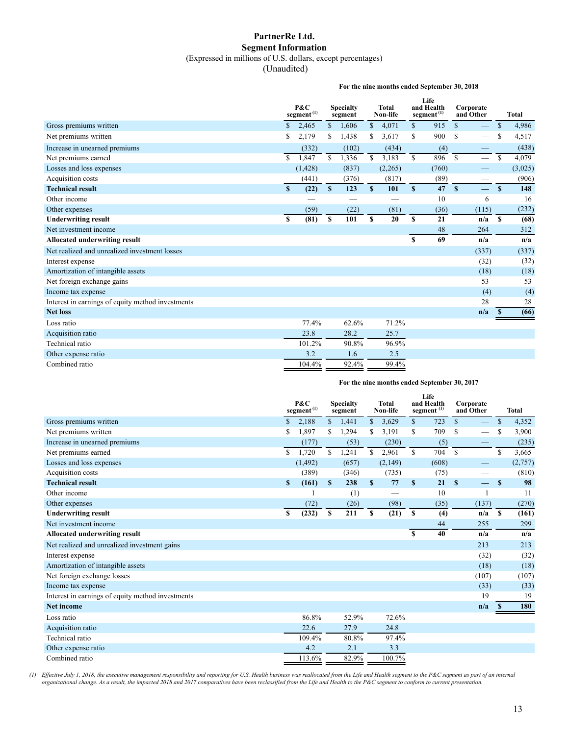#### **PartnerRe Ltd. Segment Information** (Expressed in millions of U.S. dollars, except percentages)

(Unaudited)

**For the nine months ended September 30, 2018**

|                                                   | P&C<br><b>Specialty</b><br>$\text{segment}^{(1)}$<br>segment |          |                  | <b>Total</b><br>Non-life |              | Life<br>and Health<br>segment <sup>(1)</sup> |              | Corporate<br>and Other | <b>Total</b>  |                          |               |         |
|---------------------------------------------------|--------------------------------------------------------------|----------|------------------|--------------------------|--------------|----------------------------------------------|--------------|------------------------|---------------|--------------------------|---------------|---------|
| Gross premiums written                            | $\mathbb{S}$                                                 | 2,465    | \$               | 1,606                    | $\mathbb{S}$ | 4,071                                        | $\mathbb{S}$ | 915                    | $\mathbf S$   | $\overline{\phantom{0}}$ | $\mathsf{\$}$ | 4,986   |
| Net premiums written                              | \$                                                           | 2,179    | \$               | 1,438                    | \$           | 3,617                                        | $\mathbb{S}$ | 900                    | <sup>\$</sup> |                          | S             | 4,517   |
| Increase in unearned premiums                     |                                                              | (332)    |                  | (102)                    |              | (434)                                        |              | (4)                    |               |                          |               | (438)   |
| Net premiums earned                               | \$                                                           | 1,847    | $\mathbf S$      | 1,336                    | $\mathbb{S}$ | 3,183                                        | \$           | 896                    | $\mathcal{S}$ |                          | <sup>\$</sup> | 4,079   |
| Losses and loss expenses                          |                                                              | (1, 428) |                  | (837)                    |              | (2,265)                                      |              | (760)                  |               | $\overline{\phantom{0}}$ |               | (3,025) |
| Acquisition costs                                 |                                                              | (441)    |                  | (376)                    |              | (817)                                        |              | (89)                   |               |                          |               | (906)   |
| <b>Technical result</b>                           | $\boldsymbol{s}$                                             | (22)     | $\boldsymbol{s}$ | 123                      | $\mathbf{s}$ | 101                                          | $\mathbf{s}$ | 47                     | $\mathbf{s}$  | $\equiv$                 | $\mathbf{s}$  | 148     |
| Other income                                      |                                                              |          |                  |                          |              |                                              |              | 10                     |               | 6                        |               | 16      |
| Other expenses                                    |                                                              | (59)     |                  | (22)                     |              | (81)                                         |              | (36)                   |               | (115)                    |               | (232)   |
| <b>Underwriting result</b>                        | $\mathbf S$                                                  | (81)     | \$               | 101                      | S            | 20                                           | $\mathbf{s}$ | 21                     |               | n/a                      | <sup>S</sup>  | (68)    |
| Net investment income                             |                                                              |          |                  |                          |              |                                              |              | 48                     |               | 264                      |               | 312     |
| Allocated underwriting result                     |                                                              |          |                  |                          |              |                                              | \$           | 69                     |               | n/a                      |               | n/a     |
| Net realized and unrealized investment losses     |                                                              |          |                  |                          |              |                                              |              |                        |               | (337)                    |               | (337)   |
| Interest expense                                  |                                                              |          |                  |                          |              |                                              |              |                        |               | (32)                     |               | (32)    |
| Amortization of intangible assets                 |                                                              |          |                  |                          |              |                                              |              |                        |               | (18)                     |               | (18)    |
| Net foreign exchange gains                        |                                                              |          |                  |                          |              |                                              |              |                        |               | 53                       |               | 53      |
| Income tax expense                                |                                                              |          |                  |                          |              |                                              |              |                        |               | (4)                      |               | (4)     |
| Interest in earnings of equity method investments |                                                              |          |                  |                          |              |                                              |              |                        |               | 28                       |               | 28      |
| <b>Net loss</b>                                   |                                                              |          |                  |                          |              |                                              |              |                        |               | n/a                      | -S            | (66)    |
| Loss ratio                                        |                                                              | 77.4%    |                  | 62.6%                    |              | 71.2%                                        |              |                        |               |                          |               |         |
| Acquisition ratio                                 |                                                              | 23.8     |                  | 28.2                     |              | 25.7                                         |              |                        |               |                          |               |         |
| Technical ratio                                   |                                                              | 101.2%   |                  | 90.8%                    |              | 96.9%                                        |              |                        |               |                          |               |         |
| Other expense ratio                               |                                                              | 3.2      |                  | 1.6                      |              | 2.5                                          |              |                        |               |                          |               |         |
| Combined ratio                                    |                                                              | 104.4%   |                  | 92.4%                    |              | 99.4%                                        |              |                        |               |                          |               |         |

#### **For the nine months ended September 30, 2017**

|                                                   |              | P&C<br>$\rm{segment}^{(1)}$ |              | <b>Specialty</b><br>segment |              | <b>Total</b><br>Non-life |               | Life<br>and Health<br>segment <sup>(1)</sup> |               | Corporate<br>and Other |               | <b>Total</b> |
|---------------------------------------------------|--------------|-----------------------------|--------------|-----------------------------|--------------|--------------------------|---------------|----------------------------------------------|---------------|------------------------|---------------|--------------|
| Gross premiums written                            | \$           | 2,188                       | \$           | 1,441                       | \$           | 3,629                    | $\mathbb{S}$  | 723                                          | $\mathbf S$   |                        | $\mathsf{\$}$ | 4,352        |
| Net premiums written                              | \$           | 1,897                       | \$           | 1,294                       | \$           | 3,191                    | \$            | 709                                          | S             |                        | S             | 3,900        |
| Increase in unearned premiums                     |              | (177)                       |              | (53)                        |              | (230)                    |               | (5)                                          |               |                        |               | (235)        |
| Net premiums earned                               | \$           | 1.720                       | \$           | 1,241                       | \$           | 2,961                    | S.            | 704                                          | <sup>\$</sup> |                        | <sup>\$</sup> | 3,665        |
| Losses and loss expenses                          |              | (1, 492)                    |              | (657)                       |              | (2,149)                  |               | (608)                                        |               |                        |               | (2,757)      |
| Acquisition costs                                 |              | (389)                       |              | (346)                       |              | (735)                    |               | (75)                                         |               | —                      |               | (810)        |
| <b>Technical result</b>                           | $\mathbf{s}$ | (161)                       | $\mathbf{s}$ | 238                         | $\mathbf{s}$ | 77                       | $\mathbf{s}$  | 21                                           | $\mathbf{s}$  | $\equiv$               | S             | 98           |
| Other income                                      |              |                             |              | (1)                         |              |                          |               | 10                                           |               | $\overline{1}$         |               | 11           |
| Other expenses                                    |              | (72)                        |              | (26)                        |              | (98)                     |               | (35)                                         |               | (137)                  |               | (270)        |
| <b>Underwriting result</b>                        | S            | (232)                       | S            | 211                         | S            | (21)                     | <sup>\$</sup> | (4)                                          |               | n/a                    | S             | (161)        |
| Net investment income                             |              |                             |              |                             |              |                          |               | 44                                           |               | 255                    |               | 299          |
| <b>Allocated underwriting result</b>              |              |                             |              |                             |              |                          | $\mathbf{s}$  | 40                                           |               | n/a                    |               | n/a          |
| Net realized and unrealized investment gains      |              |                             |              |                             |              |                          |               |                                              |               | 213                    |               | 213          |
| Interest expense                                  |              |                             |              |                             |              |                          |               |                                              |               | (32)                   |               | (32)         |
| Amortization of intangible assets                 |              |                             |              |                             |              |                          |               |                                              |               | (18)                   |               | (18)         |
| Net foreign exchange losses                       |              |                             |              |                             |              |                          |               |                                              |               | (107)                  |               | (107)        |
| Income tax expense                                |              |                             |              |                             |              |                          |               |                                              |               | (33)                   |               | (33)         |
| Interest in earnings of equity method investments |              |                             |              |                             |              |                          |               |                                              |               | 19                     |               | 19           |
| <b>Net income</b>                                 |              |                             |              |                             |              |                          |               |                                              |               | n/a                    | <b>S</b>      | 180          |
| Loss ratio                                        |              | 86.8%                       |              | 52.9%                       |              | 72.6%                    |               |                                              |               |                        |               |              |
| Acquisition ratio                                 |              | 22.6                        |              | 27.9                        |              | 24.8                     |               |                                              |               |                        |               |              |
| Technical ratio                                   |              | 109.4%                      |              | 80.8%                       |              | 97.4%                    |               |                                              |               |                        |               |              |
| Other expense ratio                               |              | 4.2                         |              | 2.1                         |              | 3.3                      |               |                                              |               |                        |               |              |
| Combined ratio                                    |              | 113.6%                      |              | 82.9%                       |              | 100.7%                   |               |                                              |               |                        |               |              |

(1) Effective July 1, 2018, the executive management responsibility and reporting for U.S. Health business was reallocated from the Life and Health segment to the P&C segment as part of an internal<br>organizational change. A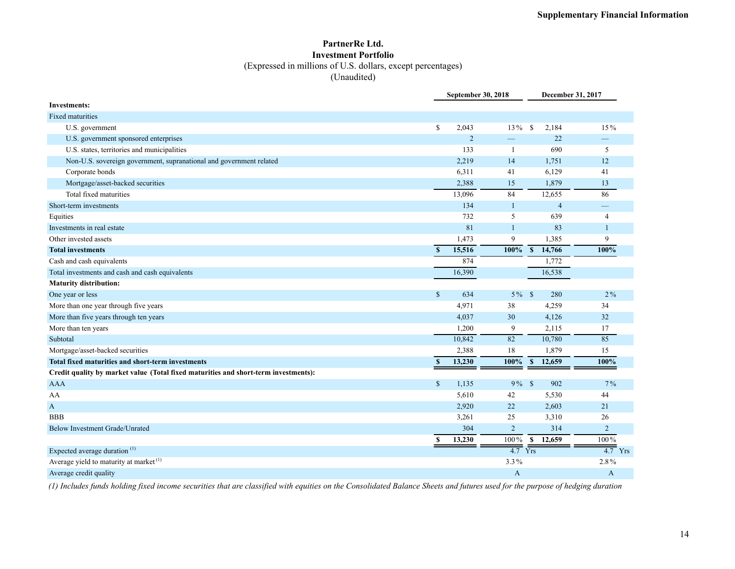#### **PartnerRe Ltd. Investment Portfolio** (Expressed in millions of U.S. dollars, except percentages) (Unaudited)

|                                                                                     |               | <b>September 30, 2018</b> |                          |                        | December 31, 2017    |
|-------------------------------------------------------------------------------------|---------------|---------------------------|--------------------------|------------------------|----------------------|
| <b>Investments:</b>                                                                 |               |                           |                          |                        |                      |
| Fixed maturities                                                                    |               |                           |                          |                        |                      |
| U.S. government                                                                     | \$            | 2,043                     | $13\%$                   | 2,184<br>- \$          | 15%                  |
| U.S. government sponsored enterprises                                               |               | $\overline{2}$            | $\overline{\phantom{0}}$ | 22                     |                      |
| U.S. states, territories and municipalities                                         |               | 133                       | -1                       | 690                    | 5                    |
| Non-U.S. sovereign government, supranational and government related                 |               | 2,219                     | 14                       | 1,751                  | 12                   |
| Corporate bonds                                                                     |               | 6,311                     | 41                       | 6,129                  | 41                   |
| Mortgage/asset-backed securities                                                    |               | 2,388                     | 15                       | 1,879                  | 13                   |
| Total fixed maturities                                                              |               | 13,096                    | 84                       | 12,655                 | 86                   |
| Short-term investments                                                              |               | 134                       | $\mathbf{1}$             | $\overline{4}$         | –                    |
| Equities                                                                            |               | 732                       | 5                        | 639                    | $\overline{4}$       |
| Investments in real estate                                                          |               | 81                        | $\mathbf{1}$             | 83                     | $\mathbf{1}$         |
| Other invested assets                                                               |               | 1,473                     | 9                        | 1,385                  | 9                    |
| <b>Total investments</b>                                                            | $\mathbf{s}$  | 15,516                    | 100%                     | $\mathbf{s}$<br>14,766 | 100%                 |
| Cash and cash equivalents                                                           |               | 874                       |                          | 1,772                  |                      |
| Total investments and cash and cash equivalents                                     |               | 16,390                    |                          | 16,538                 |                      |
| <b>Maturity distribution:</b>                                                       |               |                           |                          |                        |                      |
| One year or less                                                                    | $\mathbb{S}$  | 634                       | $5\%$ \$                 | 280                    | $2\%$                |
| More than one year through five years                                               |               | 4,971                     | 38                       | 4,259                  | 34                   |
| More than five years through ten years                                              |               | 4,037                     | 30                       | 4,126                  | 32                   |
| More than ten years                                                                 |               | 1,200                     | 9                        | 2,115                  | 17                   |
| Subtotal                                                                            |               | 10,842                    | 82                       | 10,780                 | 85                   |
| Mortgage/asset-backed securities                                                    |               | 2,388                     | 18                       | 1,879                  | 15                   |
| Total fixed maturities and short-term investments                                   | $\mathbf{s}$  | 13,230                    | 100%                     | 12,659<br>$\mathbf{s}$ | 100%                 |
| Credit quality by market value (Total fixed maturities and short-term investments): |               |                           |                          |                        |                      |
| <b>AAA</b>                                                                          | $\mathbb{S}$  | 1,135                     | $9\%$ \$                 | 902                    | $7\%$                |
| AA                                                                                  |               | 5,610                     | 42                       | 5,530                  | 44                   |
| A                                                                                   |               | 2,920                     | 22                       | 2,603                  | 21                   |
| <b>BBB</b>                                                                          |               | 3,261                     | 25                       | 3,310                  | 26                   |
| Below Investment Grade/Unrated                                                      |               | 304                       | 2                        | 314                    | $\overline{2}$       |
|                                                                                     | <sup>\$</sup> | 13,230                    | 100%                     | 12,659<br>-S           | 100%                 |
| Expected average duration <sup>(1)</sup>                                            |               |                           | $4.7$ Yrs                |                        | $\overline{4.7}$ Yrs |
| Average yield to maturity at market <sup>(1)</sup>                                  |               |                           | 3.3%                     |                        | 2.8%                 |
| Average credit quality                                                              |               |                           | A                        |                        | A                    |

*(1) Includes funds holding fixed income securities that are classified with equities on the Consolidated Balance Sheets and futures used for the purpose of hedging duration*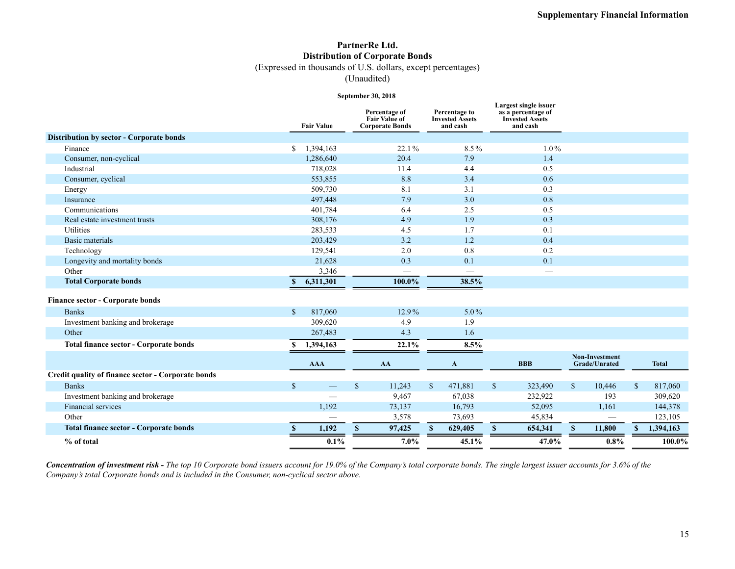### **PartnerRe Ltd. Distribution of Corporate Bonds**

(Expressed in thousands of U.S. dollars, except percentages)

(Unaudited)

#### **September 30, 2018**

|                                                    |              | <b>Fair Value</b> |               | Percentage of<br><b>Fair Value of</b><br><b>Corporate Bonds</b> |              | Percentage to<br><b>Invested Assets</b><br>and cash |               | Largest single issuer<br>as a percentage of<br><b>Invested Assets</b><br>and cash |              |                                        |               |              |
|----------------------------------------------------|--------------|-------------------|---------------|-----------------------------------------------------------------|--------------|-----------------------------------------------------|---------------|-----------------------------------------------------------------------------------|--------------|----------------------------------------|---------------|--------------|
| Distribution by sector - Corporate bonds           |              |                   |               |                                                                 |              |                                                     |               |                                                                                   |              |                                        |               |              |
| Finance                                            | \$           | 1,394,163         |               | 22.1%                                                           |              | 8.5%                                                |               | $1.0\%$                                                                           |              |                                        |               |              |
| Consumer, non-cyclical                             |              | 1,286,640         |               | 20.4                                                            |              | 7.9                                                 |               | 1.4                                                                               |              |                                        |               |              |
| Industrial                                         |              | 718,028           |               | 11.4                                                            |              | 4.4                                                 |               | 0.5                                                                               |              |                                        |               |              |
| Consumer, cyclical                                 |              | 553,855           |               | 8.8                                                             |              | 3.4                                                 |               | 0.6                                                                               |              |                                        |               |              |
| Energy                                             |              | 509,730           |               | 8.1                                                             |              | 3.1                                                 |               | 0.3                                                                               |              |                                        |               |              |
| Insurance                                          |              | 497,448           |               | 7.9                                                             |              | 3.0                                                 |               | 0.8                                                                               |              |                                        |               |              |
| Communications                                     |              | 401,784           |               | 6.4                                                             |              | 2.5                                                 |               | 0.5                                                                               |              |                                        |               |              |
| Real estate investment trusts                      |              | 308,176           |               | 4.9                                                             |              | 1.9                                                 |               | 0.3                                                                               |              |                                        |               |              |
| Utilities                                          |              | 283,533           |               | 4.5                                                             |              | 1.7                                                 |               | 0.1                                                                               |              |                                        |               |              |
| <b>Basic materials</b>                             |              | 203,429           |               | 3.2                                                             |              | 1.2                                                 |               | 0.4                                                                               |              |                                        |               |              |
| Technology                                         |              | 129,541           |               | 2.0                                                             |              | 0.8                                                 |               | 0.2                                                                               |              |                                        |               |              |
| Longevity and mortality bonds                      |              | 21,628            |               | 0.3                                                             |              | 0.1                                                 |               | 0.1                                                                               |              |                                        |               |              |
| Other                                              |              | 3,346             |               | —                                                               |              | —                                                   |               |                                                                                   |              |                                        |               |              |
| <b>Total Corporate bonds</b>                       | \$.          | 6,311,301         |               | 100.0%                                                          |              | 38.5%                                               |               |                                                                                   |              |                                        |               |              |
| <b>Finance sector - Corporate bonds</b>            |              |                   |               |                                                                 |              |                                                     |               |                                                                                   |              |                                        |               |              |
| <b>Banks</b>                                       | $\mathbb{S}$ | 817,060           |               | 12.9%                                                           |              | $5.0\%$                                             |               |                                                                                   |              |                                        |               |              |
| Investment banking and brokerage                   |              | 309,620           |               | 4.9                                                             |              | 1.9                                                 |               |                                                                                   |              |                                        |               |              |
| Other                                              |              | 267,483           |               | 4.3                                                             |              | 1.6                                                 |               |                                                                                   |              |                                        |               |              |
| <b>Total finance sector - Corporate bonds</b>      |              | 1,394,163         |               | 22.1%                                                           |              | 8.5%                                                |               |                                                                                   |              |                                        |               |              |
|                                                    |              | <b>AAA</b>        |               | AA                                                              |              | $\mathbf{A}$                                        |               | <b>BBB</b>                                                                        |              | <b>Non-Investment</b><br>Grade/Unrated |               | <b>Total</b> |
| Credit quality of finance sector - Corporate bonds |              |                   |               |                                                                 |              |                                                     |               |                                                                                   |              |                                        |               |              |
| <b>Banks</b>                                       | $\mathbf{s}$ |                   | $\mathcal{S}$ | 11,243                                                          | $\mathbb{S}$ | 471,881                                             | <sup>\$</sup> | 323,490                                                                           | $\mathbb{S}$ | 10,446                                 | <sup>\$</sup> | 817,060      |
| Investment banking and brokerage                   |              | <u>است.</u>       |               | 9,467                                                           |              | 67,038                                              |               | 232,922                                                                           |              | 193                                    |               | 309,620      |
| <b>Financial services</b>                          |              | 1,192             |               | 73,137                                                          |              | 16,793                                              |               | 52,095                                                                            |              | 1,161                                  |               | 144,378      |
| Other                                              |              |                   |               | 3,578                                                           |              | 73,693                                              |               | 45,834                                                                            |              |                                        |               | 123,105      |
| <b>Total finance sector - Corporate bonds</b>      | $\mathbf{s}$ | 1,192             | $\mathbf{s}$  | 97,425                                                          | S            | 629,405                                             | $\mathbf{s}$  | 654,341                                                                           | S            | 11,800                                 | $\mathbf{s}$  | 1,394,163    |
| % of total                                         |              | 0.1%              |               | 7.0%                                                            |              | 45.1%                                               |               | 47.0%                                                                             |              | 0.8%                                   |               | 100.0%       |

*Concentration of investment risk - The top 10 Corporate bond issuers account for 19.0% of the Company's total corporate bonds. The single largest issuer accounts for 3.6% of the Company's total Corporate bonds and is included in the Consumer, non-cyclical sector above.*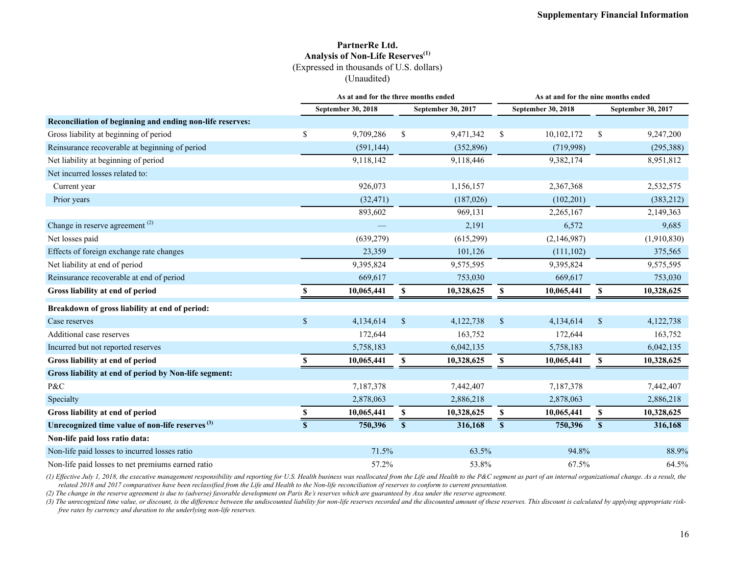#### **PartnerRe Ltd. Analysis of Non-Life Reserves(1)** (Expressed in thousands of U.S. dollars) (Unaudited)

|                                                             |              | As at and for the three months ended |               |                    |              |                           | As at and for the nine months ended |                    |  |  |  |  |  |
|-------------------------------------------------------------|--------------|--------------------------------------|---------------|--------------------|--------------|---------------------------|-------------------------------------|--------------------|--|--|--|--|--|
|                                                             |              | <b>September 30, 2018</b>            |               | September 30, 2017 |              | <b>September 30, 2018</b> |                                     | September 30, 2017 |  |  |  |  |  |
| Reconciliation of beginning and ending non-life reserves:   |              |                                      |               |                    |              |                           |                                     |                    |  |  |  |  |  |
| Gross liability at beginning of period                      | \$           | 9,709,286                            | <sup>\$</sup> | 9,471,342          | \$           | 10,102,172                | <sup>\$</sup>                       | 9,247,200          |  |  |  |  |  |
| Reinsurance recoverable at beginning of period              |              | (591, 144)                           |               | (352, 896)         |              | (719,998)                 |                                     | (295,388)          |  |  |  |  |  |
| Net liability at beginning of period                        |              | 9,118,142                            |               | 9,118,446          |              | 9,382,174                 |                                     | 8,951,812          |  |  |  |  |  |
| Net incurred losses related to:                             |              |                                      |               |                    |              |                           |                                     |                    |  |  |  |  |  |
| Current year                                                |              | 926,073                              |               | 1,156,157          |              | 2,367,368                 |                                     | 2,532,575          |  |  |  |  |  |
| Prior years                                                 |              | (32, 471)                            |               | (187, 026)         |              | (102, 201)                |                                     | (383, 212)         |  |  |  |  |  |
|                                                             |              | 893,602                              |               | 969,131            |              | 2,265,167                 |                                     | 2,149,363          |  |  |  |  |  |
| Change in reserve agreement <sup>(2)</sup>                  |              |                                      |               | 2,191              |              | 6,572                     |                                     | 9,685              |  |  |  |  |  |
| Net losses paid                                             |              | (639, 279)                           |               | (615, 299)         |              | (2,146,987)               |                                     | (1,910,830)        |  |  |  |  |  |
| Effects of foreign exchange rate changes                    |              | 23,359                               |               | 101,126            |              | (111, 102)                |                                     | 375,565            |  |  |  |  |  |
| Net liability at end of period                              |              | 9,395,824                            |               | 9,575,595          |              | 9,395,824                 |                                     | 9,575,595          |  |  |  |  |  |
| Reinsurance recoverable at end of period                    |              | 669,617                              |               | 753,030            |              | 669,617                   |                                     | 753,030            |  |  |  |  |  |
| Gross liability at end of period                            | S            | 10,065,441                           | \$            | 10,328,625         | \$           | 10,065,441                | \$                                  | 10,328,625         |  |  |  |  |  |
| Breakdown of gross liability at end of period:              |              |                                      |               |                    |              |                           |                                     |                    |  |  |  |  |  |
| Case reserves                                               | $\mathbb{S}$ | 4,134,614                            | $\mathcal{S}$ | 4,122,738          | $\mathbb{S}$ | 4,134,614                 | $\mathbb{S}$                        | 4,122,738          |  |  |  |  |  |
| Additional case reserves                                    |              | 172,644                              |               | 163,752            |              | 172,644                   |                                     | 163,752            |  |  |  |  |  |
| Incurred but not reported reserves                          |              | 5,758,183                            |               | 6,042,135          |              | 5,758,183                 |                                     | 6,042,135          |  |  |  |  |  |
| Gross liability at end of period                            | \$           | 10,065,441                           | \$            | 10,328,625         | \$           | 10,065,441                | \$                                  | 10,328,625         |  |  |  |  |  |
| Gross liability at end of period by Non-life segment:       |              |                                      |               |                    |              |                           |                                     |                    |  |  |  |  |  |
| P&C                                                         |              | 7,187,378                            |               | 7,442,407          |              | 7,187,378                 |                                     | 7,442,407          |  |  |  |  |  |
| Specialty                                                   |              | 2,878,063                            |               | 2,886,218          |              | 2,878,063                 |                                     | 2,886,218          |  |  |  |  |  |
| Gross liability at end of period                            | \$           | 10,065,441                           | \$            | 10,328,625         | \$           | 10,065,441                | \$                                  | 10,328,625         |  |  |  |  |  |
| Unrecognized time value of non-life reserves <sup>(3)</sup> | $\mathbf S$  | 750,396                              | S             | 316,168            | S            | 750,396                   | S                                   | 316,168            |  |  |  |  |  |
| Non-life paid loss ratio data:                              |              |                                      |               |                    |              |                           |                                     |                    |  |  |  |  |  |
| Non-life paid losses to incurred losses ratio               |              | 71.5%                                |               | 63.5%              |              | 94.8%                     |                                     | 88.9%              |  |  |  |  |  |
| Non-life paid losses to net premiums earned ratio           |              | 57.2%                                |               | 53.8%              |              | 67.5%                     |                                     | 64.5%              |  |  |  |  |  |

(1) Effective July 1, 2018, the executive management responsibility and reporting for U.S. Health business was reallocated from the Life and Health to the P&C segment as part of an internal organizational change. As a resu *related 2018 and 2017 comparatives have been reclassified from the Life and Health to the Non-life reconciliation of reserves to conform to current presentation.* 

*(2) The change in the reserve agreement is due to (adverse) favorable development on Paris Re's reserves which are guaranteed by Axa under the reserve agreement.*

(3) The unrecognized time value, or discount, is the difference between the undiscounted liability for non-life reserves recorded and the discounted amount of these reserves. This discount is calculated by applying appropr *free rates by currency and duration to the underlying non-life reserves.*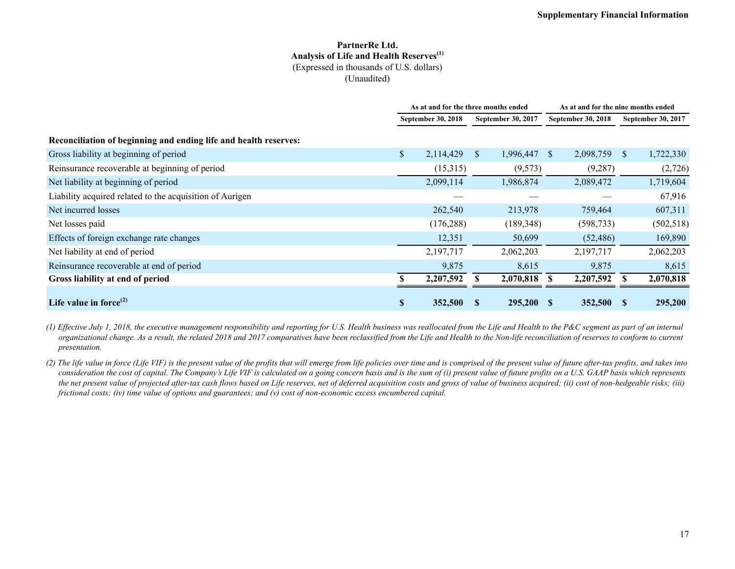#### **PartnerRe Ltd. Analysis of Life and Health Reserves(1)** (Expressed in thousands of U.S. dollars) (Unaudited)

|                                                                  | As at and for the three months ended |                           |   |                           |              | As at and for the nine months ended |              |                    |  |
|------------------------------------------------------------------|--------------------------------------|---------------------------|---|---------------------------|--------------|-------------------------------------|--------------|--------------------|--|
|                                                                  |                                      | <b>September 30, 2018</b> |   | <b>September 30, 2017</b> |              | September 30, 2018                  |              | September 30, 2017 |  |
| Reconciliation of beginning and ending life and health reserves: |                                      |                           |   |                           |              |                                     |              |                    |  |
| Gross liability at beginning of period                           | \$                                   | 2,114,429                 | S | 1,996,447                 | <sup>S</sup> | 2,098,759                           | <sup>S</sup> | 1,722,330          |  |
| Reinsurance recoverable at beginning of period                   |                                      | (15,315)                  |   | (9,573)                   |              | (9,287)                             |              | (2,726)            |  |
| Net liability at beginning of period                             |                                      | 2,099,114                 |   | 1,986,874                 |              | 2,089,472                           |              | 1,719,604          |  |
| Liability acquired related to the acquisition of Aurigen         |                                      |                           |   |                           |              |                                     |              | 67,916             |  |
| Net incurred losses                                              |                                      | 262,540                   |   | 213,978                   |              | 759,464                             |              | 607,311            |  |
| Net losses paid                                                  |                                      | (176, 288)                |   | (189, 348)                |              | (598, 733)                          |              | (502, 518)         |  |
| Effects of foreign exchange rate changes                         |                                      | 12,351                    |   | 50,699                    |              | (52, 486)                           |              | 169,890            |  |
| Net liability at end of period                                   |                                      | 2,197,717                 |   | 2,062,203                 |              | 2,197,717                           |              | 2,062,203          |  |
| Reinsurance recoverable at end of period                         |                                      | 9,875                     |   | 8,615                     |              | 9,875                               |              | 8,615              |  |
| Gross liability at end of period                                 |                                      | 2,207,592                 |   | 2,070,818                 |              | 2,207,592                           |              | 2,070,818          |  |
| Life value in force $^{(2)}$                                     | <b>S</b>                             | 352,500                   |   | 295,200                   |              | 352,500                             | <b>S</b>     | 295,200            |  |

*(1) Effective July 1, 2018, the executive management responsibility and reporting for U.S. Health business was reallocated from the Life and Health to the P&C segment as part of an internal organizational change. As a result, the related 2018 and 2017 comparatives have been reclassified from the Life and Health to the Non-life reconciliation of reserves to conform to current presentation.* 

*(2) The life value in force (Life VIF) is the present value of the profits that will emerge from life policies over time and is comprised of the present value of future after-tax profits, and takes into*  consideration the cost of capital. The Company's Life VIF is calculated on a going concern basis and is the sum of (i) present value of future profits on a U.S. GAAP basis which represents *the net present value of projected after-tax cash flows based on Life reserves, net of deferred acquisition costs and gross of value of business acquired; (ii) cost of non-hedgeable risks; (iii) frictional costs; (iv) time value of options and guarantees; and (v) cost of non-economic excess encumbered capital.*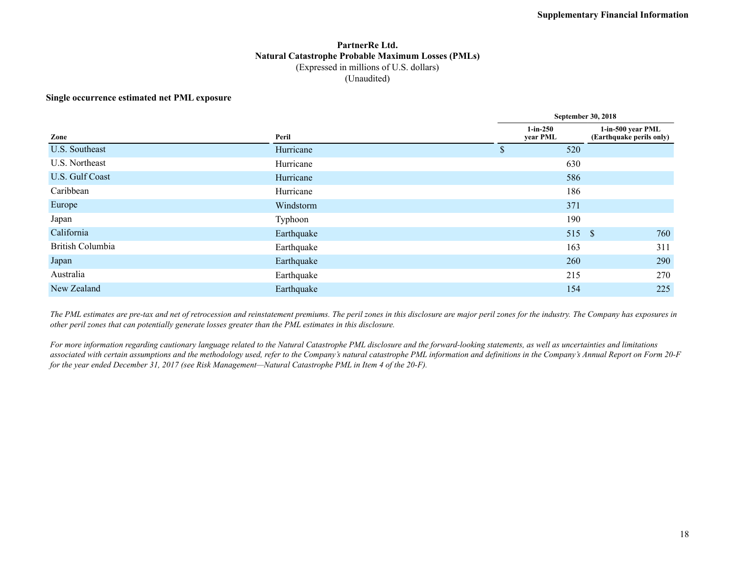#### **PartnerRe Ltd. Natural Catastrophe Probable Maximum Losses (PMLs)** (Expressed in millions of U.S. dollars) (Unaudited)

#### **Single occurrence estimated net PML exposure**

|            | <b>September 30, 2018</b> |                                                                              |  |  |  |  |  |  |  |
|------------|---------------------------|------------------------------------------------------------------------------|--|--|--|--|--|--|--|
| Peril      | $1-in-250$<br>year PML    | 1-in-500 year PML<br>(Earthquake perils only)                                |  |  |  |  |  |  |  |
| Hurricane  | \$                        |                                                                              |  |  |  |  |  |  |  |
| Hurricane  |                           |                                                                              |  |  |  |  |  |  |  |
| Hurricane  |                           |                                                                              |  |  |  |  |  |  |  |
| Hurricane  |                           |                                                                              |  |  |  |  |  |  |  |
| Windstorm  |                           |                                                                              |  |  |  |  |  |  |  |
| Typhoon    |                           |                                                                              |  |  |  |  |  |  |  |
| Earthquake |                           | 760                                                                          |  |  |  |  |  |  |  |
| Earthquake |                           | 311                                                                          |  |  |  |  |  |  |  |
| Earthquake |                           | 290                                                                          |  |  |  |  |  |  |  |
| Earthquake |                           | 270                                                                          |  |  |  |  |  |  |  |
| Earthquake |                           | 225                                                                          |  |  |  |  |  |  |  |
|            |                           | 520<br>630<br>586<br>186<br>371<br>190<br>515 \$<br>163<br>260<br>215<br>154 |  |  |  |  |  |  |  |

*The PML estimates are pre-tax and net of retrocession and reinstatement premiums. The peril zones in this disclosure are major peril zones for the industry. The Company has exposures in other peril zones that can potentially generate losses greater than the PML estimates in this disclosure.*

*For more information regarding cautionary language related to the Natural Catastrophe PML disclosure and the forward-looking statements, as well as uncertainties and limitations associated with certain assumptions and the methodology used, refer to the Company's natural catastrophe PML information and definitions in the Company's Annual Report on Form 20-F for the year ended December 31, 2017 (see Risk Management—Natural Catastrophe PML in Item 4 of the 20-F).*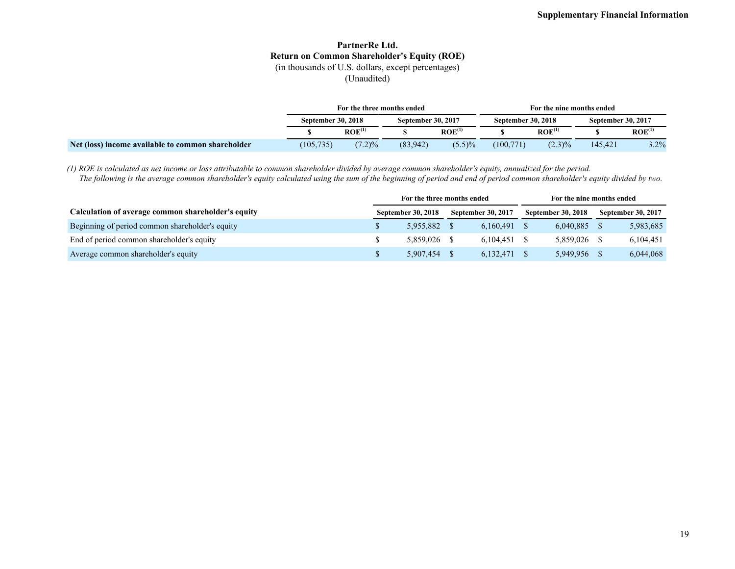## **PartnerRe Ltd. Return on Common Shareholder's Equity (ROE)**

(in thousands of U.S. dollars, except percentages)

(Unaudited)

|                                                   | For the three months ended |                    |                           |                    | For the nine months ended |                    |                    |                    |  |  |
|---------------------------------------------------|----------------------------|--------------------|---------------------------|--------------------|---------------------------|--------------------|--------------------|--------------------|--|--|
|                                                   | <b>September 30, 2018</b>  |                    | <b>September 30, 2017</b> |                    | <b>September 30, 2018</b> |                    | September 30, 2017 |                    |  |  |
|                                                   |                            | ROE <sup>(1)</sup> |                           | ROE <sup>(1)</sup> |                           | ROE <sup>(1)</sup> |                    | ROE <sup>(1)</sup> |  |  |
| Net (loss) income available to common shareholder | (105, 735)                 | $(7.2)\%$          | (83,942)                  | $(5.5)\%$          | (100, 771)                | $(2.3)\%$          | 145.421            | 3.2%               |  |  |

*(1) ROE is calculated as net income or loss attributable to common shareholder divided by average common shareholder's equity, annualized for the period. The following is the average common shareholder's equity calculated using the sum of the beginning of period and end of period common shareholder's equity divided by two.*

|                                                    | For the three months ended |           |                           | For the nine months ended |                           |           |                           |           |
|----------------------------------------------------|----------------------------|-----------|---------------------------|---------------------------|---------------------------|-----------|---------------------------|-----------|
| Calculation of average common shareholder's equity | September 30, 2018         |           | <b>September 30, 2017</b> |                           | <b>September 30, 2018</b> |           | <b>September 30, 2017</b> |           |
| Beginning of period common shareholder's equity    |                            | 5.955.882 |                           | 6.160.491                 |                           | 6,040,885 |                           | 5,983,685 |
| End of period common shareholder's equity          |                            | 5.859.026 |                           | 6.104.451                 |                           | 5.859.026 |                           | 6,104,451 |
| Average common shareholder's equity                |                            | 5.907.454 |                           | 6,132,471                 |                           | 5.949.956 |                           | 6,044,068 |